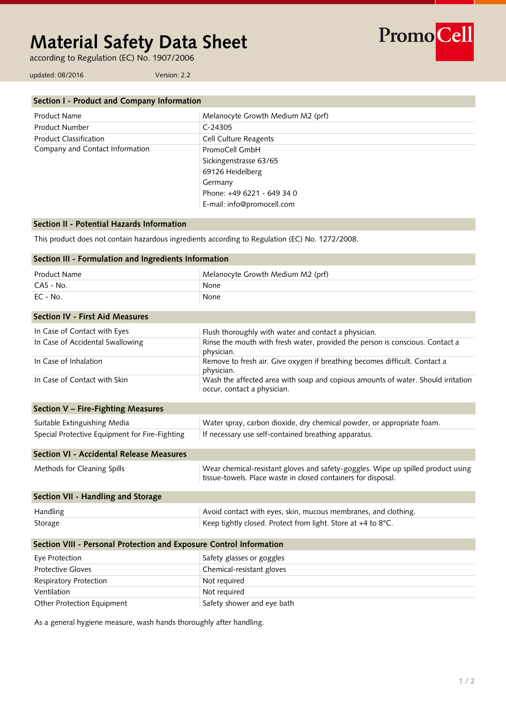# **Material Safety Data Sheet**

according to Regulation (EC) No. 1907/2006

PromoCell

updated: 08/2016 Version: 2.2

| Section I - Product and Company Information |                                   |
|---------------------------------------------|-----------------------------------|
| Product Name                                | Melanocyte Growth Medium M2 (prf) |
| Product Number                              | $C-24305$                         |
| <b>Product Classification</b>               | <b>Cell Culture Reagents</b>      |
| Company and Contact Information             | PromoCell GmbH                    |
|                                             | Sickingenstrasse 63/65            |
|                                             | 69126 Heidelberg                  |
|                                             | Germany                           |
|                                             | Phone: +49 6221 - 649 34 0        |
|                                             | E-mail: info@promocell.com        |

# **Section II - Potential Hazards Information**

This product does not contain hazardous ingredients according to Regulation (EC) No. 1272/2008.

| Section III - Formulation and Ingredients Information               |                                                                                                                                                   |  |
|---------------------------------------------------------------------|---------------------------------------------------------------------------------------------------------------------------------------------------|--|
| <b>Product Name</b>                                                 | Melanocyte Growth Medium M2 (prf)                                                                                                                 |  |
| CAS - No.                                                           | None                                                                                                                                              |  |
| $EC - No.$                                                          | None                                                                                                                                              |  |
| <b>Section IV - First Aid Measures</b>                              |                                                                                                                                                   |  |
| In Case of Contact with Eyes                                        | Flush thoroughly with water and contact a physician.                                                                                              |  |
| In Case of Accidental Swallowing                                    | Rinse the mouth with fresh water, provided the person is conscious. Contact a<br>physician.                                                       |  |
| In Case of Inhalation                                               | Remove to fresh air. Give oxygen if breathing becomes difficult. Contact a<br>physician.                                                          |  |
| In Case of Contact with Skin                                        | Wash the affected area with soap and copious amounts of water. Should irritation<br>occur, contact a physician.                                   |  |
| Section V - Fire-Fighting Measures                                  |                                                                                                                                                   |  |
| Suitable Extinguishing Media                                        | Water spray, carbon dioxide, dry chemical powder, or appropriate foam.                                                                            |  |
| Special Protective Equipment for Fire-Fighting                      | If necessary use self-contained breathing apparatus.                                                                                              |  |
| Section VI - Accidental Release Measures                            |                                                                                                                                                   |  |
| Methods for Cleaning Spills                                         | Wear chemical-resistant gloves and safety-goggles. Wipe up spilled product using<br>tissue-towels. Place waste in closed containers for disposal. |  |
| Section VII - Handling and Storage                                  |                                                                                                                                                   |  |
| Handling                                                            | Avoid contact with eyes, skin, mucous membranes, and clothing.                                                                                    |  |
| Storage                                                             | Keep tightly closed. Protect from light. Store at +4 to 8°C.                                                                                      |  |
| Section VIII - Personal Protection and Exposure Control Information |                                                                                                                                                   |  |
| Eye Protection                                                      | Safety glasses or goggles                                                                                                                         |  |
| <b>Protective Gloves</b>                                            | Chemical-resistant gloves                                                                                                                         |  |
| Respiratory Protection                                              | Not required                                                                                                                                      |  |
| Ventilation                                                         | Not required                                                                                                                                      |  |
| Other Protection Equipment                                          | Safety shower and eye bath                                                                                                                        |  |

As a general hygiene measure, wash hands thoroughly after handling.